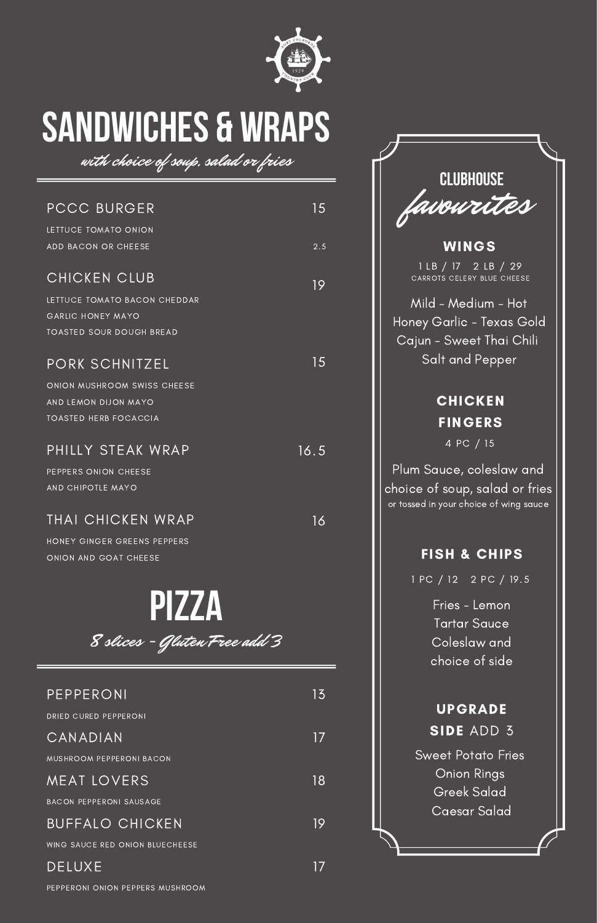

# **SANDWICHES & WRAPS**

with choice of soup, salad or fries

| <b>PCCC BURGER</b>                                   | 15   |
|------------------------------------------------------|------|
| LETTUCE TOMATO ONION                                 |      |
| ADD BACON OR CHEESE                                  | 2.5  |
| CHICKEN CLUB                                         | 19   |
| LETTUCE TOMATO BACON CHEDDAR                         |      |
| GARLIC HONEY MAYO                                    |      |
| <b>TOASTED SOUR DOUGH BREAD</b>                      |      |
| PORK SCHNITZEL                                       | 15   |
|                                                      |      |
| ONION MUSHROOM SWISS CHEESE                          |      |
| AND LEMON DIJON MAYO<br><b>TOASTED HERB FOCACCIA</b> |      |
|                                                      |      |
| PHILLY STEAK WRAP                                    | 16.5 |
| PEPPERS ONION CHEESE                                 |      |
| AND CHIPOTLE MAYO                                    |      |
|                                                      |      |
| THAI CHICKEN WRAP                                    | 16   |
| HONEY GINGER GREENS PEPPERS                          |      |
| ONION AND GOAT CHEESE                                |      |
|                                                      |      |

**PIZZA** 8 slices - Gluten Free add 3

#### PEPPERONI

DRIED CURED PEPPERONI

#### CANADIAN

MUSHROOM PEPPERONI BACON

#### MEAT LOVERS

BACON PEPPERONI SAUSAGE

#### BUFFALO CHICKEN

WING SAUCE RED ONION BLUECHEESE

#### DELUXE

PEPPERONI ONION PEPPERS MUSHROOM

17

| <b>CLUBHOUSE</b>                                                                                            |
|-------------------------------------------------------------------------------------------------------------|
| favourites                                                                                                  |
| WINGS                                                                                                       |
| 1 LB / 17 2 LB / 29<br>CARROTS CELERY BLUE CHEESE                                                           |
| Mild - Medium - Hot<br>Honey Garlic - Texas Gold<br>Cajun - Sweet Thai Chili                                |
| Salt and Pepper                                                                                             |
| <b>CHICKEN</b>                                                                                              |
| <b>FINGERS</b>                                                                                              |
| 4 PC / 15                                                                                                   |
| <u>Plum Sauce, coleslaw and</u><br>choice of soup, salad or fries<br>or tossed in your choice of wing sauce |

### FISH & CHIPS

UPGRADE

SIDE ADD 3 Sweet Potato Fries Onion Rings Greek Salad Caesar Salad

1 PC / 12 2 PC / 19.5

Fries - Lemon Tartar Sauce Coleslaw and choice of side